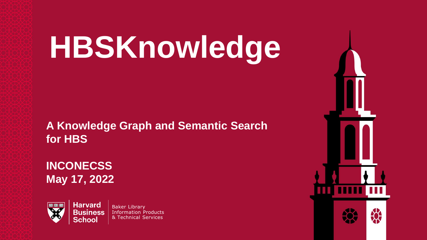# **HBSKnowledge**

**A Knowledge Graph and Semantic Search for HBS**

**INCONECSS May 17, 2022**

**Harvard** 

School



Baker Library **Business** Information Products & Technical Services

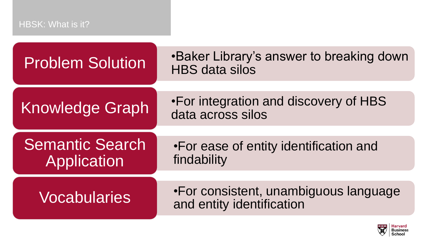## HBSK: What is it?

| <b>Problem Solution</b>               | .Baker Library's answer to breaking down<br><b>HBS data silos</b>  |  |
|---------------------------------------|--------------------------------------------------------------------|--|
| <b>Knowledge Graph</b>                | •For integration and discovery of HBS<br>data across silos         |  |
| <b>Semantic Search</b><br>Application | •For ease of entity identification and<br>findability              |  |
| <b>Vocabularies</b>                   | •For consistent, unambiguous language<br>and entity identification |  |

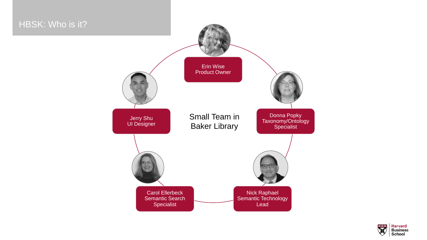## HBSK: Who is it? Erin Wise Product Owner Donna Popky Taxonomy/Ontology **Specialist** Nick Raphael Semantic Technology Lead Carol Ellerbeck Semantic Search Specialist Jerry Shu UI Designer Small Team in Baker Library

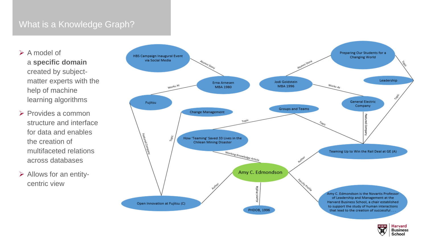## What is a Knowledge Graph?

- $\triangleright$  A model of a **specific domain**  created by subjectmatter experts with the help of machine learning algorithms
- $\triangleright$  Provides a common structure and interface for data and enables the creation of multifaceted relations across databases
- $\triangleright$  Allows for an entitycentric view



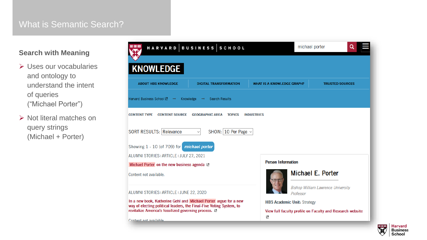#### What is Semantic Search?

#### **Search with Meaning**

- **► Uses our vocabularies** and ontology to understand the intent of queries ("Michael Porter")
- $\triangleright$  Not literal matches on query strings (Michael + Porter)



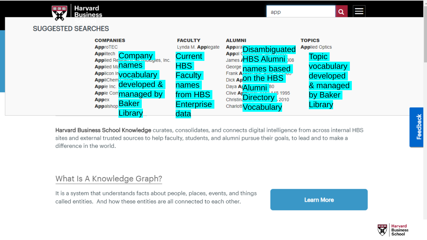

#### **SUGGESTED SEARCHES**



Harvard Business School Knowledge curates, consolidates, and connects digital intelligence from across internal HBS sites and external trusted sources to help faculty, students, and alumni pursue their goals, to lead and to make a difference in the world.

#### What Is A Knowledge Graph?

It is a system that understands facts about people, places, events, and things called entities. And how these entities are all connected to each other.

**Learn More** 

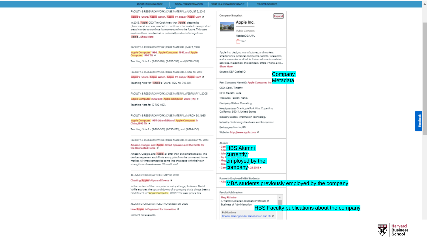#### ABOUT HBS KNOWLEDGE DIGITAL TRANSFORMATION WHAT IS A KNOWLEDGE GRAPH? TRUSTED SOURCES

FACULTY & RESEARCH WORK | CASE MATERIAL | AUGUST 5, 2016 Apple's Future: Apple Watch, Apple TV, and/or Apple Car? M In 2015. Apple CEO Tim Cook knew that Apple, despite its

phenomenal success, needed to continue to innovate in new product areas in order to continue its momentum into the future. This case explores three new (actual or potential) product offerings from Apple Show More

FACULTY & RESEARCH WORK | CASE MATERIAL | MAY 1, 1996

#### Apple Computer 1996, Apple Computer 1997, and Apple Computer 1998 TN W

Teaching Note for (9-796-126), (9-797-098), and (9-798-099).

FACULTY & RESEARCH WORK | CASE MATERIAL | JUNE 16, 2016

Apple's Future: Apple Watch, Apple TV, and/or Apple Car? M

Teaching note for "Apple's Future," HBS no. 716-401.

FACULTY & RESEARCH WORK | CASE MATERIAL | FEBRUARY 1, 2005

Apple Computer 2002 and Apple Computer 2005 (TN) x

Teaching Note for (9-702-469).

FACULTY & RESEARCH WORK I CASE MATERIAL I MARCH 30, 1995

Apple Computer 1995 (A) and (B) and Apple Computer in China 1993 TN In

Teaching Note for (9-795-061), (9-795-073), and (9-794-100).

FACULTY & RESEARCH WORK I CASE MATERIAL I FEBRUARY 15, 2018

Amazon, Google, and Apple: Smart Speakers and the Battle for the Connected Home In

Amazon, Google, and Apple all offer their own smart speaker. The devices represent each firm's entry point into the connected home market. All three companies come into the space with their own strengths and weaknesses. Who will win?

#### ALUMNI STORIES | ARTICLE | MAY 31, 2007

#### Charting Apple's Ups and Downs IX

In the context of the computer industry at large, Professor David Yoffie explores the ups and downs of a company that's always been a bit different in "Apple Computer, 2006." The case poses this

ALUMNI STORIES | ARTICLE | NOVEMBER 30, 2020

How Apple Is Organized for Innovation #

Content not available.

| Company Snapshot |               |  |  |
|------------------|---------------|--|--|
|                  | Apple Inc.    |  |  |
|                  | Public Compan |  |  |
|                  | NasdagGS:AAP  |  |  |
|                  | 1977          |  |  |

Apple Inc. designs, manufactures, and markets smartphones, personal computers, tablets, wearables, and accessories worldwide. It also sells various related services. In addition, the company offers iPhone, a lin... Show More

Source: S&P CapitalIO

#### **Metadata** Past Company Name(s): Apple Computer, In

CEO: Cook, Timothy

CFO: Maestri, Luca

Treasurer: Paxton, Nancy

Company Status: Operating

Headquarters: One Apple Park Way, Cupertino, California, 95014, United States

Industry Sector: Information Technology

Industry: Technology Hardware and Equipment

Exchanges: NasdagGS

Website: http://www.apple.com #

Alumni: **Carl<mark>e</mark>HBS Alumni currently Meglemployed by the** - Cami<mark>COMDANY</mark>A 23 2018 A

Formerly Employed MBA Students:

**Allix** MBA students previously employed by the company

**Company** 

Expand

| <b>Faculty Publications</b>               |  |
|-------------------------------------------|--|
| Meg Rithmire                              |  |
| F. Warren McFarlan Associate Professor of |  |
| Business of Administration<br>$\cdots$    |  |

HBS Faculty publications about the company

| Publications                                  |  |  |  |
|-----------------------------------------------|--|--|--|
| Snapp: Scaling Under Sanctions in Iran (A) In |  |  |  |

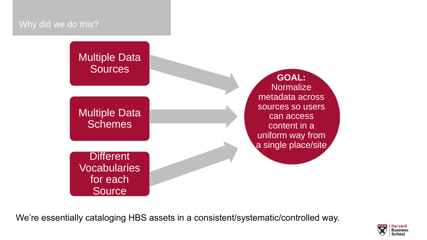#### Why did we do this?

# Multiple Data **Sources** Multiple Data **Schemes**

**GOAL: Normalize** metadata across sources so users can access content in a uniform way from a single place/site

**Different Vocabularies** for each **Source** 

We're essentially cataloging HBS assets in a consistent/systematic/controlled way.

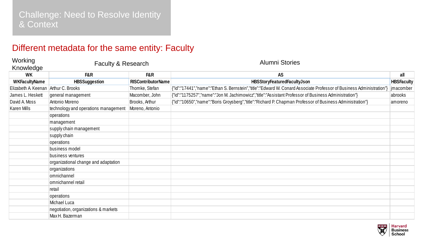### Different metadata for the same entity: Faculty

|                                      | Different metadata for the same entity: Faculty |                           |                                                                                                                      |                   |
|--------------------------------------|-------------------------------------------------|---------------------------|----------------------------------------------------------------------------------------------------------------------|-------------------|
| Working<br>Knowledge                 | Faculty & Research                              |                           | <b>Alumni Stories</b>                                                                                                |                   |
| <b>WK</b>                            | F&R                                             | F&R                       | <b>AS</b>                                                                                                            | all               |
| <b>WKFacultyName</b>                 | <b>HBSSuggestion</b>                            | <b>RISContributorName</b> | HBSStoryFeaturedFacultyJson                                                                                          | <b>HBSFaculty</b> |
| Elizabeth A. Keenan Arthur C. Brooks |                                                 | Thomke, Stefan            | {"id":"17441","name":"Ethan S. Bernstein","title":"Edward W. Conard Associate Professor of Business Administration") | jmacomber         |
| James L. Heskett                     | general management                              | Macomber, John            | {"id":"1175257","name":"Jon M. Jachimowicz","title":"Assistant Professor of Business Administration"}                | abrooks           |
| David A. Moss                        | Antonio Moreno                                  | Brooks, Arthur            | {"id":"10650","name":"Boris Groysberg","title":"Richard P. Chapman Professor of Business Administration"}            | amoreno           |
| <b>Karen Mills</b>                   | technology and operations management            | Moreno, Antonio           |                                                                                                                      |                   |
|                                      | operations                                      |                           |                                                                                                                      |                   |
|                                      | management                                      |                           |                                                                                                                      |                   |
|                                      | supply chain management                         |                           |                                                                                                                      |                   |
|                                      | supply chain                                    |                           |                                                                                                                      |                   |
|                                      | operations                                      |                           |                                                                                                                      |                   |
|                                      | business model                                  |                           |                                                                                                                      |                   |
|                                      | business ventures                               |                           |                                                                                                                      |                   |
|                                      | organizational change and adaptation            |                           |                                                                                                                      |                   |
|                                      | organizations                                   |                           |                                                                                                                      |                   |
|                                      | omnichannel                                     |                           |                                                                                                                      |                   |
|                                      | omnichannel retail                              |                           |                                                                                                                      |                   |
|                                      | retail                                          |                           |                                                                                                                      |                   |
|                                      | operations                                      |                           |                                                                                                                      |                   |
|                                      | Michael Luca                                    |                           |                                                                                                                      |                   |
|                                      | negotiation, organizations & markets            |                           |                                                                                                                      |                   |
|                                      | Max H. Bazerman                                 |                           |                                                                                                                      |                   |

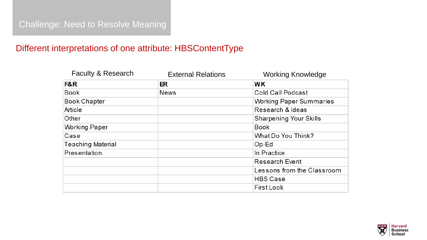## Challenge: Need to Resolve Meaning

### Different interpretations of one attribute: HBSContentType

| <b>Faculty &amp; Research</b> | <b>External Relations</b> | <b>Working Knowledge</b>       |
|-------------------------------|---------------------------|--------------------------------|
| F&R                           | ER                        | <b>WK</b>                      |
| <b>Book</b>                   | <b>News</b>               | Cold Call Podcast              |
| <b>Book Chapter</b>           |                           | <b>Working Paper Summaries</b> |
| Article                       |                           | Research & Ideas               |
| Other                         |                           | <b>Sharpening Your Skills</b>  |
| <b>Working Paper</b>          |                           | <b>Book</b>                    |
| Case                          |                           | What Do You Think?             |
| <b>Teaching Material</b>      |                           | Op-Ed                          |
| Presentation                  |                           | In Practice                    |
|                               |                           | <b>Research Event</b>          |
|                               |                           | Lessons from the Classroom     |
|                               |                           | <b>HBS Case</b>                |
|                               |                           | <b>First Look</b>              |

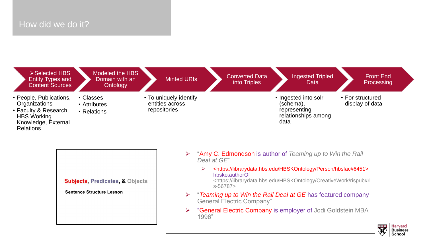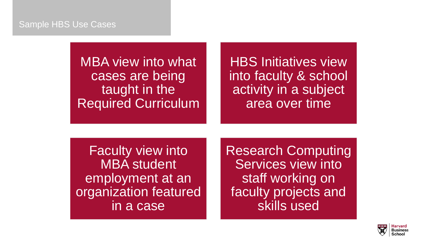#### Sample HBS Use Cases

MBA view into what cases are being taught in the Required Curriculum

HBS Initiatives view into faculty & school activity in a subject area over time

Faculty view into MBA student employment at an organization featured in a case

Research Computing Services view into staff working on faculty projects and skills used

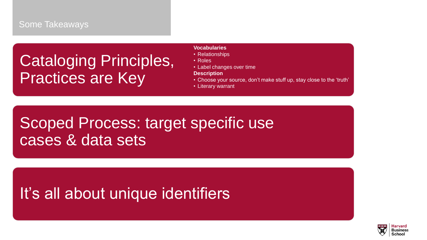## Cataloging Principles, Practices are Key

#### **Vocabularies**

- Relationships
- Roles
- Label changes over time
- **Description**
- Choose your source, don't make stuff up, stay close to the 'truth'
- Literary warrant

# Scoped Process: target specific use cases & data sets

## It's all about unique identifiers